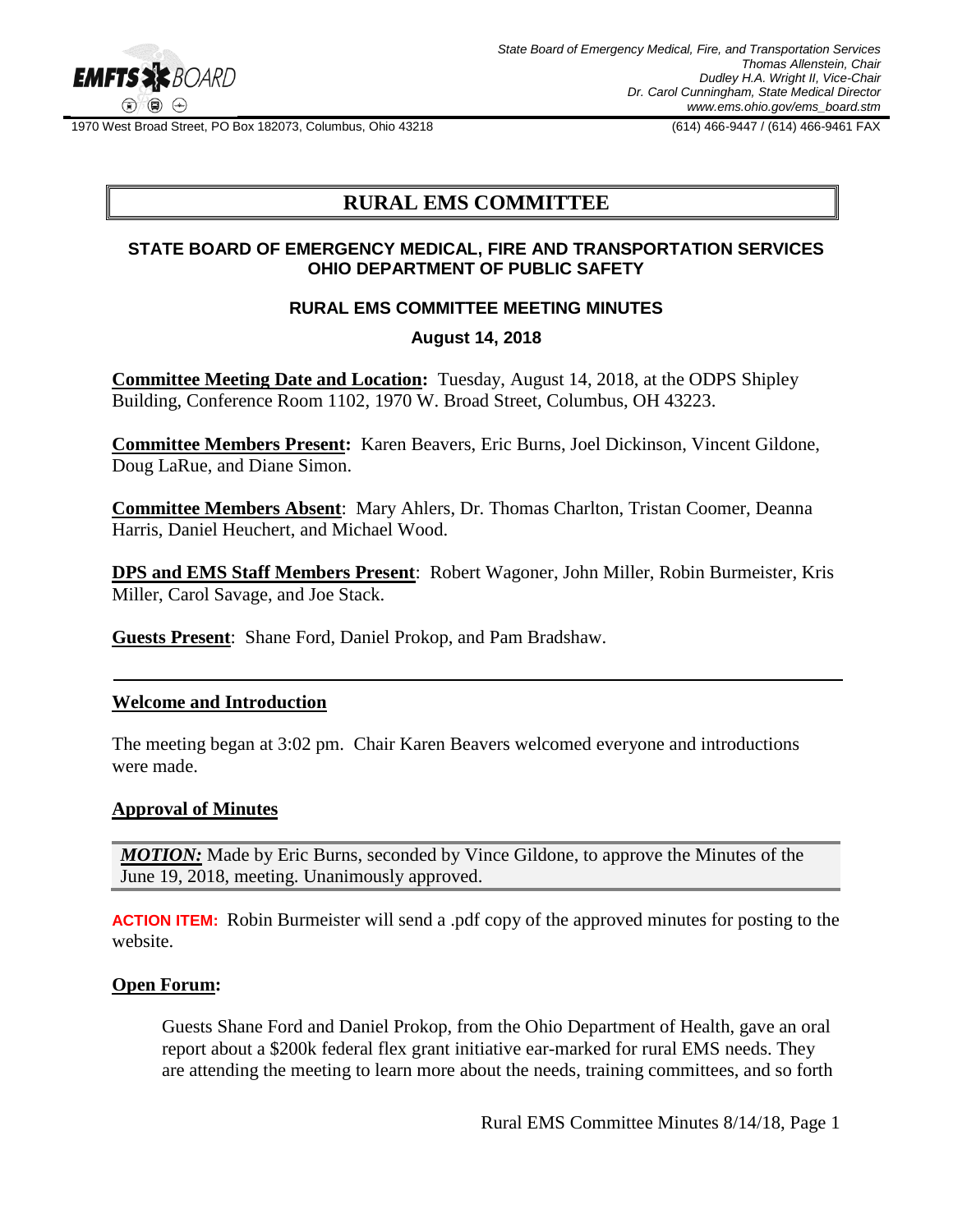

1970 West Broad Street, PO Box 182073, Columbus, Ohio 43218 (614) 466-9447 / (614) 466-9461 FAX

# **RURAL EMS COMMITTEE**

## **STATE BOARD OF EMERGENCY MEDICAL, FIRE AND TRANSPORTATION SERVICES OHIO DEPARTMENT OF PUBLIC SAFETY**

# **RURAL EMS COMMITTEE MEETING MINUTES**

# **August 14, 2018**

**Committee Meeting Date and Location:** Tuesday, August 14, 2018, at the ODPS Shipley Building, Conference Room 1102, 1970 W. Broad Street, Columbus, OH 43223.

**Committee Members Present:** Karen Beavers, Eric Burns, Joel Dickinson, Vincent Gildone, Doug LaRue, and Diane Simon.

**Committee Members Absent**: Mary Ahlers, Dr. Thomas Charlton, Tristan Coomer, Deanna Harris, Daniel Heuchert, and Michael Wood.

**DPS and EMS Staff Members Present**: Robert Wagoner, John Miller, Robin Burmeister, Kris Miller, Carol Savage, and Joe Stack.

**Guests Present**: Shane Ford, Daniel Prokop, and Pam Bradshaw.

## **Welcome and Introduction**

The meeting began at 3:02 pm. Chair Karen Beavers welcomed everyone and introductions were made.

#### **Approval of Minutes**

*MOTION:* Made by Eric Burns, seconded by Vince Gildone, to approve the Minutes of the June 19, 2018, meeting. Unanimously approved.

**ACTION ITEM:**Robin Burmeister will send a .pdf copy of the approved minutes for posting to the website.

#### **Open Forum:**

Guests Shane Ford and Daniel Prokop, from the Ohio Department of Health, gave an oral report about a \$200k federal flex grant initiative ear-marked for rural EMS needs. They are attending the meeting to learn more about the needs, training committees, and so forth

Rural EMS Committee Minutes 8/14/18, Page 1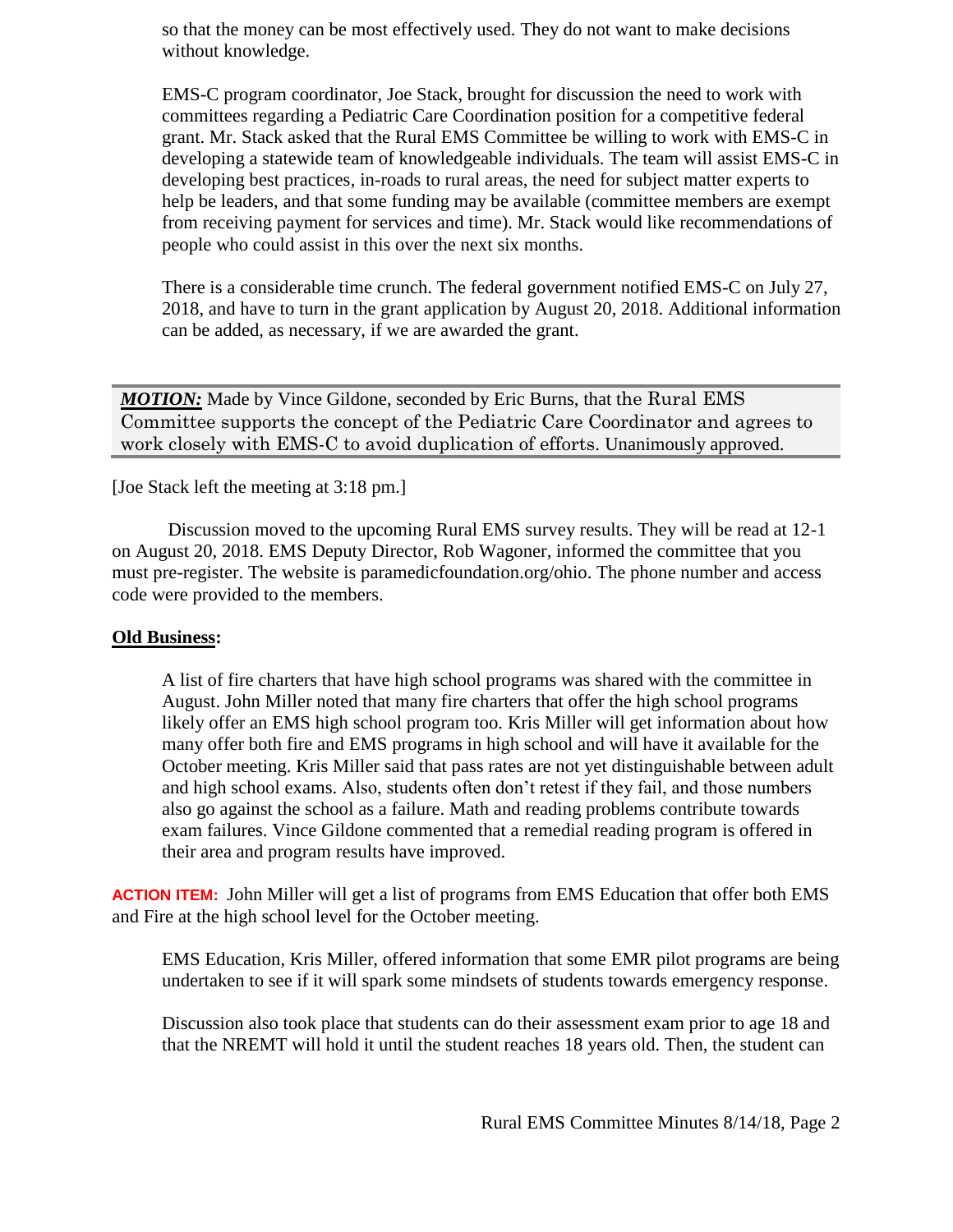so that the money can be most effectively used. They do not want to make decisions without knowledge.

EMS-C program coordinator, Joe Stack, brought for discussion the need to work with committees regarding a Pediatric Care Coordination position for a competitive federal grant. Mr. Stack asked that the Rural EMS Committee be willing to work with EMS-C in developing a statewide team of knowledgeable individuals. The team will assist EMS-C in developing best practices, in-roads to rural areas, the need for subject matter experts to help be leaders, and that some funding may be available (committee members are exempt from receiving payment for services and time). Mr. Stack would like recommendations of people who could assist in this over the next six months.

There is a considerable time crunch. The federal government notified EMS-C on July 27, 2018, and have to turn in the grant application by August 20, 2018. Additional information can be added, as necessary, if we are awarded the grant.

**MOTION:** Made by Vince Gildone, seconded by Eric Burns, that the Rural EMS Committee supports the concept of the Pediatric Care Coordinator and agrees to work closely with EMS-C to avoid duplication of efforts. Unanimously approved.

[Joe Stack left the meeting at 3:18 pm.]

Discussion moved to the upcoming Rural EMS survey results. They will be read at 12-1 on August 20, 2018. EMS Deputy Director, Rob Wagoner, informed the committee that you must pre-register. The website is paramedicfoundation.org/ohio. The phone number and access code were provided to the members.

## **Old Business:**

A list of fire charters that have high school programs was shared with the committee in August. John Miller noted that many fire charters that offer the high school programs likely offer an EMS high school program too. Kris Miller will get information about how many offer both fire and EMS programs in high school and will have it available for the October meeting. Kris Miller said that pass rates are not yet distinguishable between adult and high school exams. Also, students often don't retest if they fail, and those numbers also go against the school as a failure. Math and reading problems contribute towards exam failures. Vince Gildone commented that a remedial reading program is offered in their area and program results have improved.

**ACTION ITEM:**John Miller will get a list of programs from EMS Education that offer both EMS and Fire at the high school level for the October meeting.

EMS Education, Kris Miller, offered information that some EMR pilot programs are being undertaken to see if it will spark some mindsets of students towards emergency response.

Discussion also took place that students can do their assessment exam prior to age 18 and that the NREMT will hold it until the student reaches 18 years old. Then, the student can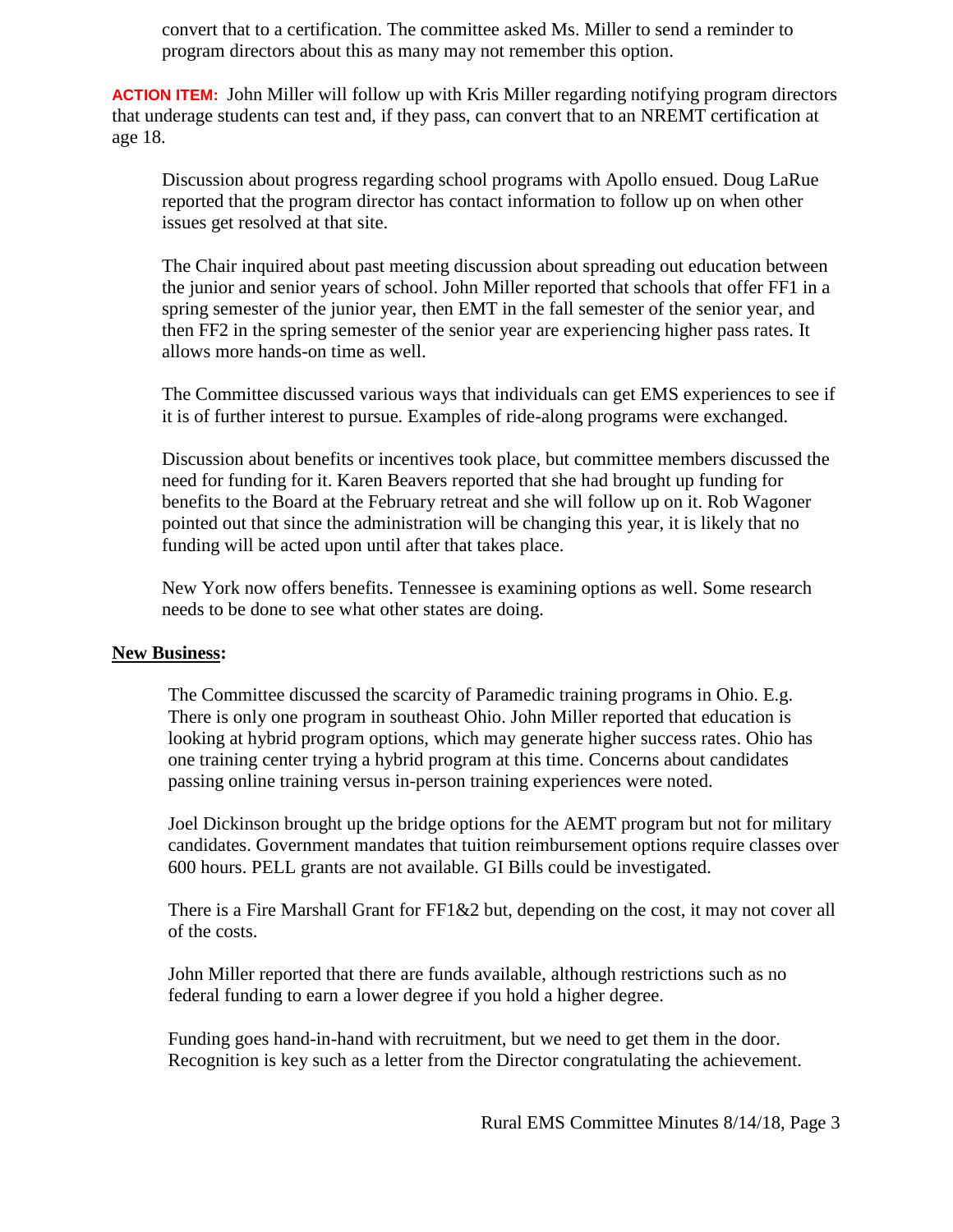convert that to a certification. The committee asked Ms. Miller to send a reminder to program directors about this as many may not remember this option.

**ACTION ITEM:**John Miller will follow up with Kris Miller regarding notifying program directors that underage students can test and, if they pass, can convert that to an NREMT certification at age 18.

Discussion about progress regarding school programs with Apollo ensued. Doug LaRue reported that the program director has contact information to follow up on when other issues get resolved at that site.

The Chair inquired about past meeting discussion about spreading out education between the junior and senior years of school. John Miller reported that schools that offer FF1 in a spring semester of the junior year, then EMT in the fall semester of the senior year, and then FF2 in the spring semester of the senior year are experiencing higher pass rates. It allows more hands-on time as well.

The Committee discussed various ways that individuals can get EMS experiences to see if it is of further interest to pursue. Examples of ride-along programs were exchanged.

Discussion about benefits or incentives took place, but committee members discussed the need for funding for it. Karen Beavers reported that she had brought up funding for benefits to the Board at the February retreat and she will follow up on it. Rob Wagoner pointed out that since the administration will be changing this year, it is likely that no funding will be acted upon until after that takes place.

New York now offers benefits. Tennessee is examining options as well. Some research needs to be done to see what other states are doing.

## **New Business:**

The Committee discussed the scarcity of Paramedic training programs in Ohio. E.g. There is only one program in southeast Ohio. John Miller reported that education is looking at hybrid program options, which may generate higher success rates. Ohio has one training center trying a hybrid program at this time. Concerns about candidates passing online training versus in-person training experiences were noted.

Joel Dickinson brought up the bridge options for the AEMT program but not for military candidates. Government mandates that tuition reimbursement options require classes over 600 hours. PELL grants are not available. GI Bills could be investigated.

There is a Fire Marshall Grant for FF1&2 but, depending on the cost, it may not cover all of the costs.

John Miller reported that there are funds available, although restrictions such as no federal funding to earn a lower degree if you hold a higher degree.

Funding goes hand-in-hand with recruitment, but we need to get them in the door. Recognition is key such as a letter from the Director congratulating the achievement.